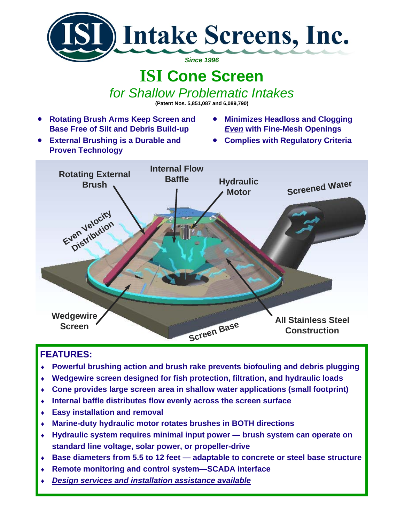

## **ISI Cone Screen**

*for Shallow Problematic Intakes*

**(Patent Nos. 5,851,087 and 6,089,790)** 

- **Rotating Brush Arms Keep Screen and Base Free of Silt and Debris Build-up**
- **External Brushing is a Durable and Proven Technology**
- **Minimizes Headloss and Clogging**  *Even* **with Fine-Mesh Openings**
- **Complies with Regulatory Criteria**



## **FEATURES:**

- **Powerful brushing action and brush rake prevents biofouling and debris plugging**
- ♦ **Wedgewire screen designed for fish protection, filtration, and hydraulic loads**
- ♦ **Cone provides large screen area in shallow water applications (small footprint)**
- Internal baffle distributes flow evenly across the screen surface
- ♦ **Easy installation and removal**
- ♦ **Marine-duty hydraulic motor rotates brushes in BOTH directions**
- ♦ **Hydraulic system requires minimal input power brush system can operate on standard line voltage, solar power, or propeller-drive**
- ♦ **Base diameters from 5.5 to 12 feet adaptable to concrete or steel base structure**
- ♦ **Remote monitoring and control system—SCADA interface**
- *Design services and installation assistance available*